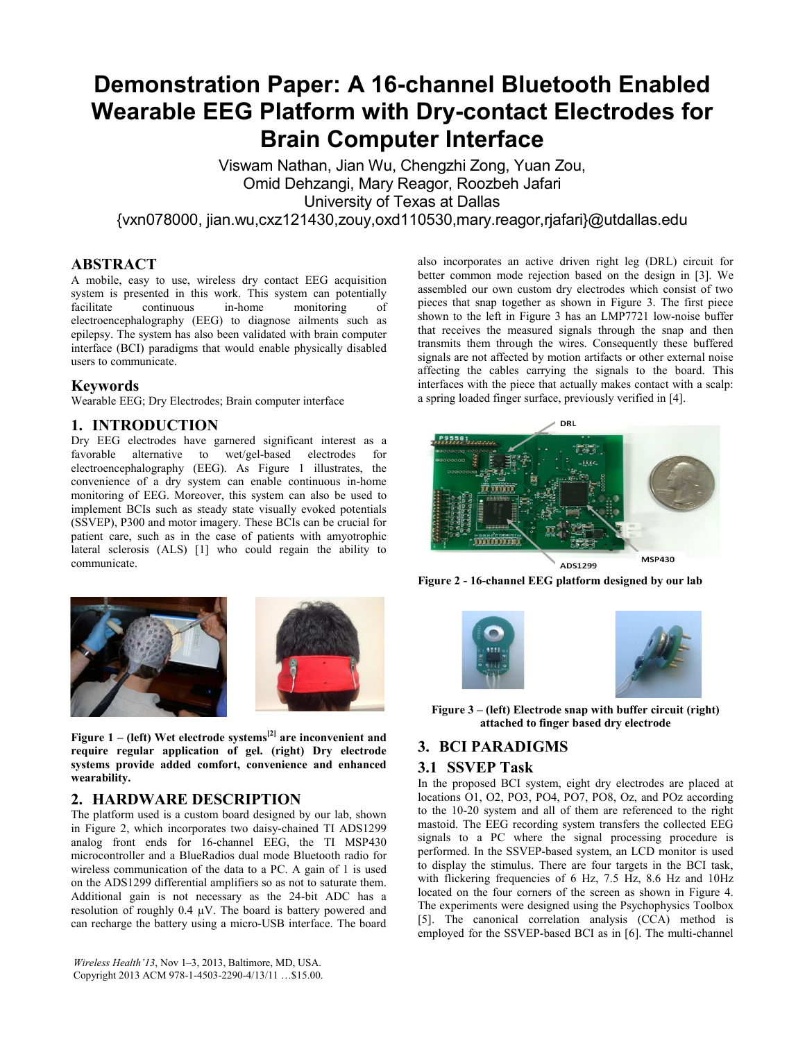# **Demonstration Paper: A 16-channel Bluetooth Enabled Wearable EEG Platform with Dry-contact Electrodes for Brain Computer Interface**

Viswam Nathan, Jian Wu, Chengzhi Zong, Yuan Zou, Omid Dehzangi, Mary Reagor, Roozbeh Jafari University of Texas at Dallas {vxn078000, jian.wu,cxz121430,zouy,oxd110530,mary.reagor,rjafari}@utdallas.edu

# **ABSTRACT**

A mobile, easy to use, wireless dry contact EEG acquisition system is presented in this work. This system can potentially facilitate continuous in-home monitoring of electroencephalography (EEG) to diagnose ailments such as epilepsy. The system has also been validated with brain computer interface (BCI) paradigms that would enable physically disabled users to communicate.

# **Keywords**

Wearable EEG; Dry Electrodes; Brain computer interface

# **1. INTRODUCTION**

Dry EEG electrodes have garnered significant interest as a favorable alternative to wet/gel-based electrodes for electroencephalography (EEG). As Figure 1 illustrates, the convenience of a dry system can enable continuous in-home monitoring of EEG. Moreover, this system can also be used to implement BCIs such as steady state visually evoked potentials (SSVEP), P300 and motor imagery. These BCIs can be crucial for patient care, such as in the case of patients with amyotrophic lateral sclerosis (ALS) [1] who could regain the ability to communicate.



**Figure 1 – (left) Wet electrode systems[2] are inconvenient and require regular application of gel. (right) Dry electrode systems provide added comfort, convenience and enhanced wearability.**

### **2. HARDWARE DESCRIPTION**

The platform used is a custom board designed by our lab, shown in Figure 2, which incorporates two daisy-chained TI ADS1299 analog front ends for 16-channel EEG, the TI MSP430 microcontroller and a BlueRadios dual mode Bluetooth radio for wireless communication of the data to a PC. A gain of 1 is used on the ADS1299 differential amplifiers so as not to saturate them. Additional gain is not necessary as the 24-bit ADC has a resolution of roughly  $0.4 \mu V$ . The board is battery powered and can recharge the battery using a micro-USB interface. The board

also incorporates an active driven right leg (DRL) circuit for better common mode rejection based on the design in [3]. We assembled our own custom dry electrodes which consist of two pieces that snap together as shown in Figure 3. The first piece shown to the left in Figure 3 has an LMP7721 low-noise buffer that receives the measured signals through the snap and then transmits them through the wires. Consequently these buffered signals are not affected by motion artifacts or other external noise affecting the cables carrying the signals to the board. This interfaces with the piece that actually makes contact with a scalp: a spring loaded finger surface, previously verified in [4].







**Figure 3 – (left) Electrode snap with buffer circuit (right) attached to finger based dry electrode**

# **3. BCI PARADIGMS**

### **3.1 SSVEP Task**

In the proposed BCI system, eight dry electrodes are placed at locations O1, O2, PO3, PO4, PO7, PO8, Oz, and POz according to the 10-20 system and all of them are referenced to the right mastoid. The EEG recording system transfers the collected EEG signals to a PC where the signal processing procedure is performed. In the SSVEP-based system, an LCD monitor is used to display the stimulus. There are four targets in the BCI task, with flickering frequencies of 6 Hz, 7.5 Hz, 8.6 Hz and 10Hz located on the four corners of the screen as shown in Figure 4. The experiments were designed using the Psychophysics Toolbox [5]. The canonical correlation analysis (CCA) method is employed for the SSVEP-based BCI as in [6]. The multi-channel